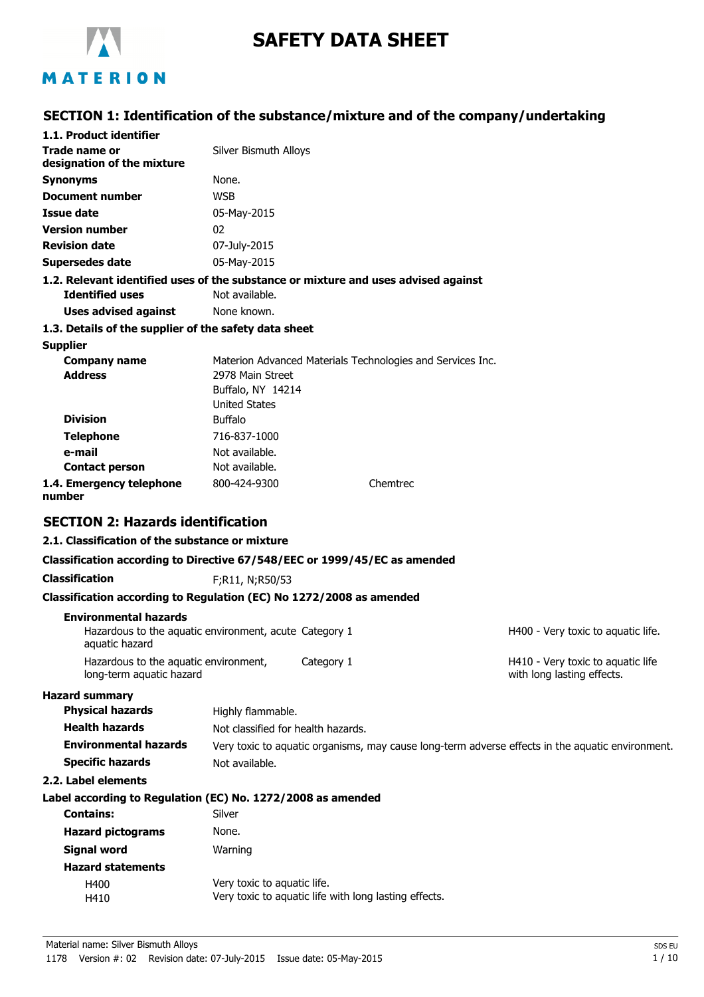

# **SAFETY DATA SHEET**

## **SECTION 1: Identification of the substance/mixture and of the company/undertaking**

| 1.1. Product identifier                                                                |                                           |            |                                                            |                                                                                                  |
|----------------------------------------------------------------------------------------|-------------------------------------------|------------|------------------------------------------------------------|--------------------------------------------------------------------------------------------------|
| <b>Trade name or</b><br>designation of the mixture                                     | Silver Bismuth Alloys                     |            |                                                            |                                                                                                  |
| <b>Synonyms</b>                                                                        | None.                                     |            |                                                            |                                                                                                  |
| Document number                                                                        | <b>WSB</b>                                |            |                                                            |                                                                                                  |
| Issue date                                                                             | 05-May-2015                               |            |                                                            |                                                                                                  |
| <b>Version number</b>                                                                  | 02                                        |            |                                                            |                                                                                                  |
| <b>Revision date</b>                                                                   | 07-July-2015                              |            |                                                            |                                                                                                  |
| <b>Supersedes date</b>                                                                 | 05-May-2015                               |            |                                                            |                                                                                                  |
| 1.2. Relevant identified uses of the substance or mixture and uses advised against     |                                           |            |                                                            |                                                                                                  |
| <b>Identified uses</b>                                                                 | Not available.                            |            |                                                            |                                                                                                  |
| <b>Uses advised against</b>                                                            | None known.                               |            |                                                            |                                                                                                  |
| 1.3. Details of the supplier of the safety data sheet                                  |                                           |            |                                                            |                                                                                                  |
| <b>Supplier</b>                                                                        |                                           |            |                                                            |                                                                                                  |
| <b>Company name</b>                                                                    |                                           |            | Materion Advanced Materials Technologies and Services Inc. |                                                                                                  |
| <b>Address</b>                                                                         | 2978 Main Street                          |            |                                                            |                                                                                                  |
|                                                                                        | Buffalo, NY 14214<br><b>United States</b> |            |                                                            |                                                                                                  |
| <b>Division</b>                                                                        | <b>Buffalo</b>                            |            |                                                            |                                                                                                  |
| <b>Telephone</b>                                                                       | 716-837-1000                              |            |                                                            |                                                                                                  |
| e-mail                                                                                 | Not available.                            |            |                                                            |                                                                                                  |
| <b>Contact person</b>                                                                  | Not available.                            |            |                                                            |                                                                                                  |
| 1.4. Emergency telephone<br>number                                                     | 800-424-9300                              |            | Chemtrec                                                   |                                                                                                  |
| <b>SECTION 2: Hazards identification</b>                                               |                                           |            |                                                            |                                                                                                  |
| 2.1. Classification of the substance or mixture                                        |                                           |            |                                                            |                                                                                                  |
|                                                                                        |                                           |            |                                                            |                                                                                                  |
| Classification according to Directive 67/548/EEC or 1999/45/EC as amended              |                                           |            |                                                            |                                                                                                  |
| <b>Classification</b>                                                                  | F;R11, N;R50/53                           |            |                                                            |                                                                                                  |
| Classification according to Regulation (EC) No 1272/2008 as amended                    |                                           |            |                                                            |                                                                                                  |
| <b>Environmental hazards</b><br>Hazardous to the aquatic environment, acute Category 1 |                                           |            |                                                            | H400 - Very toxic to aquatic life.                                                               |
| aquatic hazard                                                                         |                                           |            |                                                            |                                                                                                  |
| Hazardous to the aquatic environment,<br>long-term aquatic hazard                      |                                           | Category 1 |                                                            | H410 - Very toxic to aquatic life<br>with long lasting effects.                                  |
| <b>Hazard summary</b>                                                                  |                                           |            |                                                            |                                                                                                  |
| <b>Physical hazards</b>                                                                | Highly flammable.                         |            |                                                            |                                                                                                  |
| <b>Health hazards</b>                                                                  | Not classified for health hazards.        |            |                                                            |                                                                                                  |
| <b>Environmental hazards</b>                                                           |                                           |            |                                                            | Very toxic to aquatic organisms, may cause long-term adverse effects in the aquatic environment. |
| <b>Specific hazards</b>                                                                | Not available.                            |            |                                                            |                                                                                                  |
| 2.2. Label elements                                                                    |                                           |            |                                                            |                                                                                                  |
| Label according to Regulation (EC) No. 1272/2008 as amended                            |                                           |            |                                                            |                                                                                                  |
| <b>Contains:</b>                                                                       | Silver                                    |            |                                                            |                                                                                                  |
| <b>Hazard pictograms</b>                                                               | None.                                     |            |                                                            |                                                                                                  |
| <b>Signal word</b>                                                                     | Warning                                   |            |                                                            |                                                                                                  |
|                                                                                        |                                           |            |                                                            |                                                                                                  |
| <b>Hazard statements</b>                                                               |                                           |            |                                                            |                                                                                                  |

H410 Very toxic to aquatic life with long lasting effects.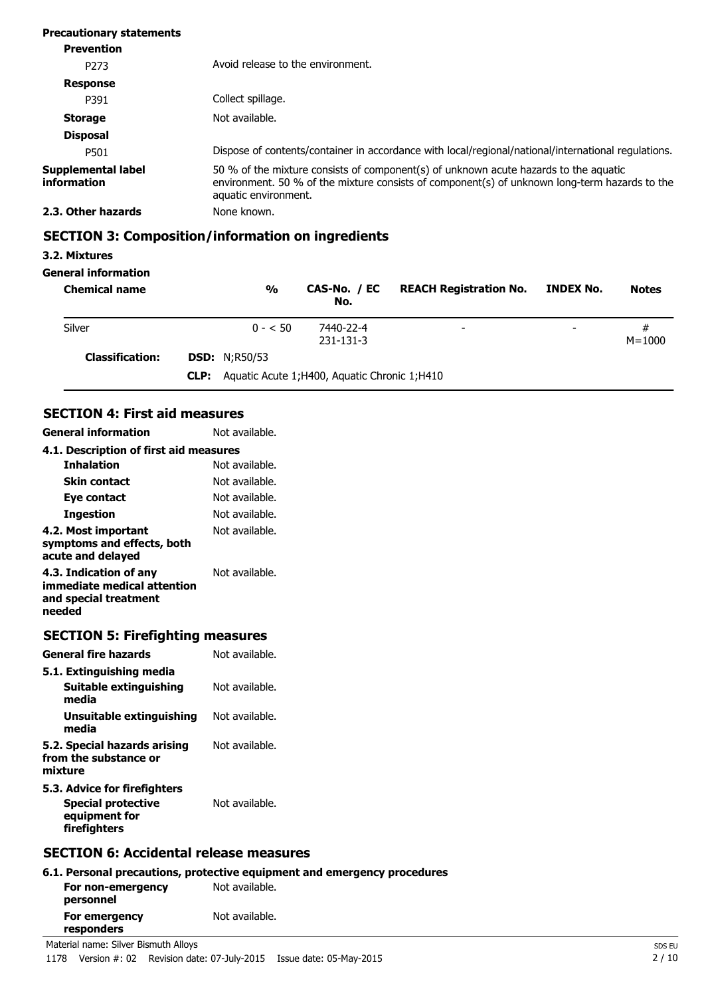| <b>Precautionary statements</b>   |                                                                                                                                                                                                               |
|-----------------------------------|---------------------------------------------------------------------------------------------------------------------------------------------------------------------------------------------------------------|
| <b>Prevention</b>                 |                                                                                                                                                                                                               |
| P <sub>273</sub>                  | Avoid release to the environment.                                                                                                                                                                             |
| <b>Response</b>                   |                                                                                                                                                                                                               |
| P391                              | Collect spillage.                                                                                                                                                                                             |
| <b>Storage</b>                    | Not available.                                                                                                                                                                                                |
| <b>Disposal</b>                   |                                                                                                                                                                                                               |
| P501                              | Dispose of contents/container in accordance with local/regional/national/international regulations.                                                                                                           |
| Supplemental label<br>information | 50 % of the mixture consists of component(s) of unknown acute hazards to the aquatic<br>environment. 50 % of the mixture consists of component(s) of unknown long-term hazards to the<br>aquatic environment. |
| 2.3. Other hazards                | None known.                                                                                                                                                                                                   |

## **SECTION 3: Composition/information on ingredients**

### **3.2. Mixtures**

### **General information**

| <b>Chemical name</b>   | $\frac{0}{0}$        | CAS-No. / EC<br>No.                            | <b>REACH Registration No.</b> | INDEX No.                | <b>Notes</b>    |
|------------------------|----------------------|------------------------------------------------|-------------------------------|--------------------------|-----------------|
| Silver                 | $0 - 50$             | 7440-22-4<br>231-131-3                         | $\overline{\phantom{0}}$      | $\overline{\phantom{0}}$ | #<br>$M = 1000$ |
| <b>Classification:</b> | <b>DSD:</b> N;R50/53 |                                                |                               |                          |                 |
|                        | CLP:                 | Aquatic Acute 1; H400, Aquatic Chronic 1; H410 |                               |                          |                 |

### **SECTION 4: First aid measures**

| <b>General information</b>                                                               | Not available. |
|------------------------------------------------------------------------------------------|----------------|
| 4.1. Description of first aid measures                                                   |                |
| <b>Inhalation</b>                                                                        | Not available. |
| Skin contact                                                                             | Not available. |
| Eye contact                                                                              | Not available. |
| <b>Ingestion</b>                                                                         | Not available. |
| 4.2. Most important<br>symptoms and effects, both<br>acute and delayed                   | Not available. |
| 4.3. Indication of any<br>immediate medical attention<br>and special treatment<br>needed | Not available. |

## **SECTION 5: Firefighting measures**

| <b>General fire hazards</b>                                                         | Not available. |
|-------------------------------------------------------------------------------------|----------------|
| 5.1. Extinguishing media                                                            |                |
| Suitable extinguishing<br>media                                                     | Not available. |
| Unsuitable extinguishing<br>media                                                   | Not available. |
| 5.2. Special hazards arising<br>from the substance or<br>mixture                    | Not available. |
| 5.3. Advice for firefighters<br>Special protective<br>equipment for<br>firefighters | Not available. |
|                                                                                     |                |

### **SECTION 6: Accidental release measures**

|                                | 6.1. Personal precautions, protective equipment and emergency procedures |
|--------------------------------|--------------------------------------------------------------------------|
| For non-emergency<br>personnel | Not available.                                                           |
| For emergency<br>responders    | Not available.                                                           |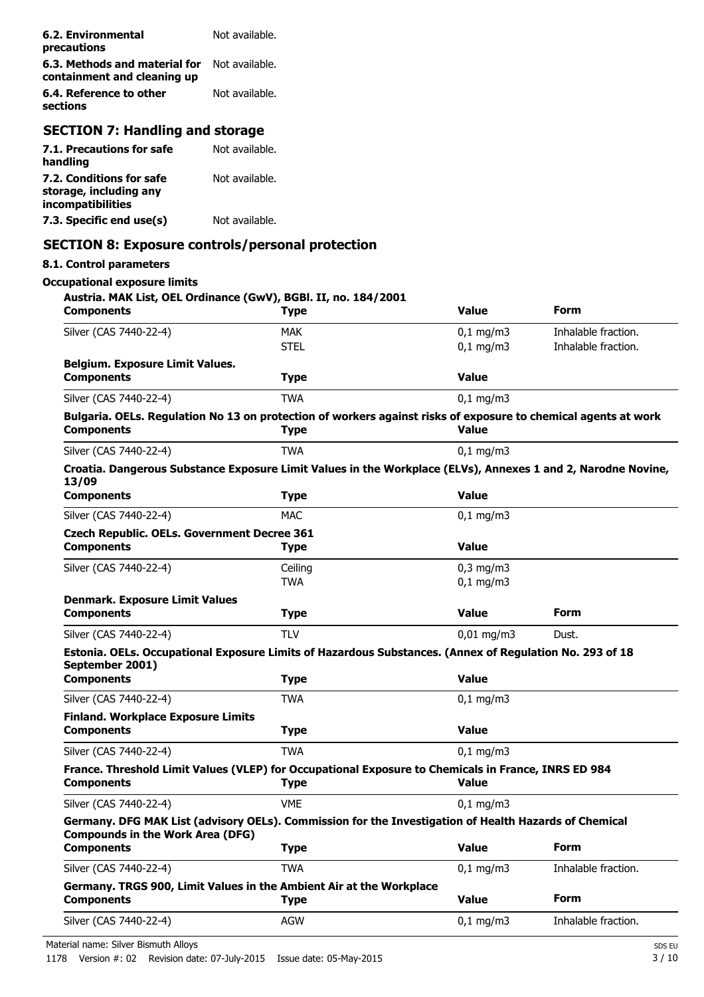| 6.2. Environmental<br>precautions                            | Not available. |
|--------------------------------------------------------------|----------------|
| 6.3. Methods and material for<br>containment and cleaning up | Not available. |
| 6.4. Reference to other<br>sections                          | Not available. |
|                                                              |                |

### **SECTION 7: Handling and storage**

| 7.1. Precautions for safe | Not available. |
|---------------------------|----------------|
| handling                  |                |
| 7.2. Conditions for safe  | Not available. |
| storage, including any    |                |
| incompatibilities         |                |
| 7.3. Specific end use(s)  | Not available. |

### **SECTION 8: Exposure controls/personal protection**

### **8.1. Control parameters**

### **Occupational exposure limits**

| Austria. MAK List, OEL Ordinance (GwV), BGBl. II, no. 184/2001<br><b>Components</b>                                                              | <b>Type</b> | <b>Value</b>          | Form                |
|--------------------------------------------------------------------------------------------------------------------------------------------------|-------------|-----------------------|---------------------|
| Silver (CAS 7440-22-4)                                                                                                                           | <b>MAK</b>  | $0,1$ mg/m3           | Inhalable fraction. |
|                                                                                                                                                  | <b>STEL</b> | $0,1$ mg/m3           | Inhalable fraction. |
| <b>Belgium. Exposure Limit Values.</b>                                                                                                           |             |                       |                     |
| <b>Components</b>                                                                                                                                | <b>Type</b> | <b>Value</b>          |                     |
| Silver (CAS 7440-22-4)                                                                                                                           | <b>TWA</b>  | $0,1$ mg/m3           |                     |
| Bulgaria. OELs. Regulation No 13 on protection of workers against risks of exposure to chemical agents at work                                   |             |                       |                     |
| <b>Components</b>                                                                                                                                | <b>Type</b> | <b>Value</b>          |                     |
| Silver (CAS 7440-22-4)                                                                                                                           | <b>TWA</b>  | $0,1$ mg/m3           |                     |
| Croatia. Dangerous Substance Exposure Limit Values in the Workplace (ELVs), Annexes 1 and 2, Narodne Novine,<br>13/09                            |             |                       |                     |
| <b>Components</b>                                                                                                                                | <b>Type</b> | <b>Value</b>          |                     |
| Silver (CAS 7440-22-4)                                                                                                                           | <b>MAC</b>  | $0,1$ mg/m3           |                     |
| <b>Czech Republic. OELs. Government Decree 361</b>                                                                                               |             |                       |                     |
| <b>Components</b>                                                                                                                                | <b>Type</b> | Value                 |                     |
| Silver (CAS 7440-22-4)                                                                                                                           | Ceiling     | $0,3$ mg/m $3$        |                     |
|                                                                                                                                                  | <b>TWA</b>  | $0,1$ mg/m3           |                     |
| <b>Denmark. Exposure Limit Values</b>                                                                                                            |             |                       | Form                |
| <b>Components</b>                                                                                                                                | <b>Type</b> | <b>Value</b>          |                     |
| Silver (CAS 7440-22-4)                                                                                                                           | <b>TLV</b>  | $0,01 \text{ mg/m}$ 3 | Dust.               |
| Estonia. OELs. Occupational Exposure Limits of Hazardous Substances. (Annex of Regulation No. 293 of 18<br>September 2001)                       |             |                       |                     |
| <b>Components</b>                                                                                                                                | <b>Type</b> | <b>Value</b>          |                     |
| Silver (CAS 7440-22-4)                                                                                                                           | <b>TWA</b>  | $0,1$ mg/m3           |                     |
| <b>Finland. Workplace Exposure Limits</b>                                                                                                        |             |                       |                     |
| <b>Components</b>                                                                                                                                | <b>Type</b> | <b>Value</b>          |                     |
| Silver (CAS 7440-22-4)                                                                                                                           | TWA         | $0,1$ mg/m3           |                     |
| France. Threshold Limit Values (VLEP) for Occupational Exposure to Chemicals in France, INRS ED 984                                              |             |                       |                     |
| <b>Components</b>                                                                                                                                | <b>Type</b> | <b>Value</b>          |                     |
| Silver (CAS 7440-22-4)                                                                                                                           | <b>VME</b>  | $0,1 \, \text{mg/m}$  |                     |
| Germany. DFG MAK List (advisory OELs). Commission for the Investigation of Health Hazards of Chemical<br><b>Compounds in the Work Area (DFG)</b> |             |                       |                     |
| <b>Components</b>                                                                                                                                | <b>Type</b> | <b>Value</b>          | <b>Form</b>         |
| Silver (CAS 7440-22-4)                                                                                                                           | <b>TWA</b>  | $0,1$ mg/m3           | Inhalable fraction. |
| Germany. TRGS 900, Limit Values in the Ambient Air at the Workplace                                                                              |             |                       |                     |
| <b>Components</b>                                                                                                                                | <b>Type</b> | <b>Value</b>          | Form                |
| Silver (CAS 7440-22-4)                                                                                                                           | AGW         | $0,1$ mg/m3           | Inhalable fraction. |

Material name: Silver Bismuth Alloys SDS EU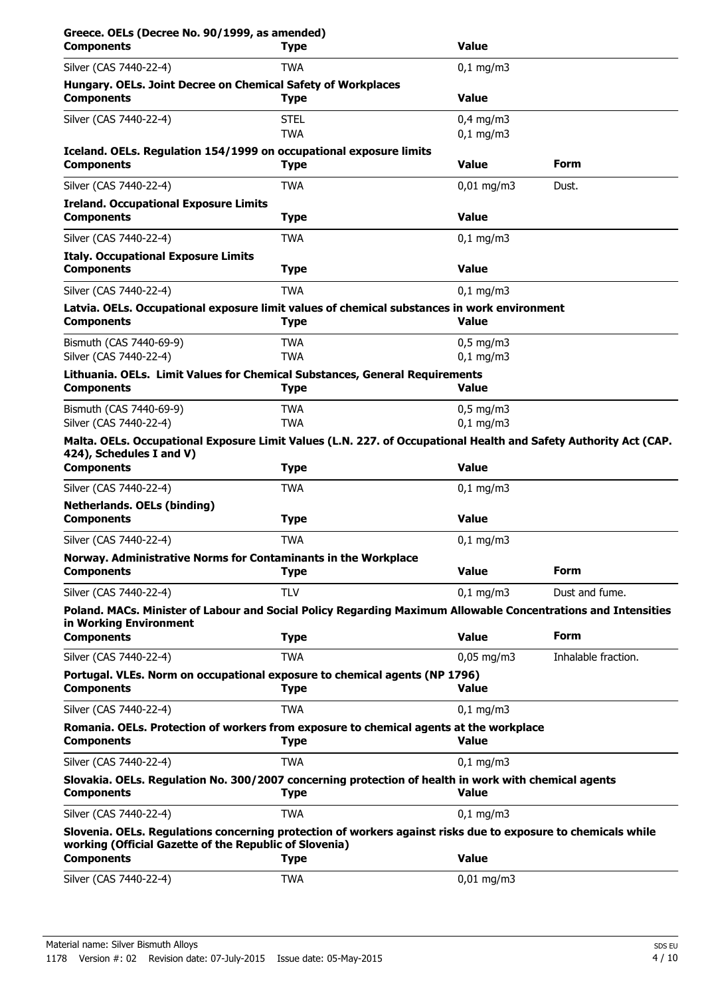| Greece. OELs (Decree No. 90/1999, as amended)<br><b>Components</b>                                                                                                      | <b>Type</b>               | <b>Value</b>               |                     |
|-------------------------------------------------------------------------------------------------------------------------------------------------------------------------|---------------------------|----------------------------|---------------------|
| Silver (CAS 7440-22-4)                                                                                                                                                  | <b>TWA</b>                | $0,1$ mg/m3                |                     |
| Hungary. OELs. Joint Decree on Chemical Safety of Workplaces<br><b>Components</b>                                                                                       | <b>Type</b>               | <b>Value</b>               |                     |
| Silver (CAS 7440-22-4)                                                                                                                                                  | <b>STEL</b><br><b>TWA</b> | $0,4$ mg/m3<br>$0,1$ mg/m3 |                     |
| Iceland. OELs. Regulation 154/1999 on occupational exposure limits<br><b>Components</b>                                                                                 | <b>Type</b>               | <b>Value</b>               | Form                |
| Silver (CAS 7440-22-4)                                                                                                                                                  | <b>TWA</b>                | $0,01 \,\mathrm{mg/m}$     | Dust.               |
| <b>Ireland. Occupational Exposure Limits</b><br><b>Components</b>                                                                                                       | <b>Type</b>               | <b>Value</b>               |                     |
| Silver (CAS 7440-22-4)                                                                                                                                                  | <b>TWA</b>                | $0,1$ mg/m3                |                     |
| <b>Italy. Occupational Exposure Limits</b><br><b>Components</b>                                                                                                         | <b>Type</b>               | <b>Value</b>               |                     |
| Silver (CAS 7440-22-4)                                                                                                                                                  | <b>TWA</b>                | $0,1$ mg/m $3$             |                     |
| Latvia. OELs. Occupational exposure limit values of chemical substances in work environment<br><b>Components</b>                                                        | <b>Type</b>               | <b>Value</b>               |                     |
| Bismuth (CAS 7440-69-9)<br>Silver (CAS 7440-22-4)                                                                                                                       | <b>TWA</b><br><b>TWA</b>  | $0.5$ mg/m3<br>$0,1$ mg/m3 |                     |
| Lithuania. OELs. Limit Values for Chemical Substances, General Requirements<br><b>Components</b>                                                                        | <b>Type</b>               | <b>Value</b>               |                     |
| Bismuth (CAS 7440-69-9)<br>Silver (CAS 7440-22-4)                                                                                                                       | <b>TWA</b><br><b>TWA</b>  | $0,5$ mg/m3<br>$0,1$ mg/m3 |                     |
| Malta. OELs. Occupational Exposure Limit Values (L.N. 227. of Occupational Health and Safety Authority Act (CAP.<br>424), Schedules I and V)                            |                           |                            |                     |
| <b>Components</b>                                                                                                                                                       | <b>Type</b>               | <b>Value</b>               |                     |
| Silver (CAS 7440-22-4)                                                                                                                                                  | <b>TWA</b>                | $0,1$ mg/m3                |                     |
| <b>Netherlands. OELs (binding)</b><br><b>Components</b>                                                                                                                 | <b>Type</b>               | <b>Value</b>               |                     |
| Silver (CAS 7440-22-4)                                                                                                                                                  | <b>TWA</b>                | $0,1$ mg/m $3$             |                     |
| Norway. Administrative Norms for Contaminants in the Workplace<br><b>Components</b>                                                                                     | <b>Type</b>               | <b>Value</b>               | <b>Form</b>         |
| Silver (CAS 7440-22-4)                                                                                                                                                  | <b>TLV</b>                | $0,1$ mg/m3                | Dust and fume.      |
| Poland. MACs. Minister of Labour and Social Policy Regarding Maximum Allowable Concentrations and Intensities<br>in Working Environment                                 |                           |                            |                     |
| <b>Components</b>                                                                                                                                                       | <b>Type</b>               | <b>Value</b>               | <b>Form</b>         |
| Silver (CAS 7440-22-4)                                                                                                                                                  | <b>TWA</b>                | $0,05$ mg/m3               | Inhalable fraction. |
| Portugal. VLEs. Norm on occupational exposure to chemical agents (NP 1796)<br><b>Components</b>                                                                         | <b>Type</b>               | <b>Value</b>               |                     |
| Silver (CAS 7440-22-4)                                                                                                                                                  | <b>TWA</b>                | $0,1$ mg/m3                |                     |
| Romania. OELs. Protection of workers from exposure to chemical agents at the workplace<br><b>Components</b>                                                             | <b>Type</b>               | <b>Value</b>               |                     |
| Silver (CAS 7440-22-4)                                                                                                                                                  | <b>TWA</b>                | $0,1$ mg/m3                |                     |
| Slovakia. OELs. Regulation No. 300/2007 concerning protection of health in work with chemical agents<br><b>Components</b>                                               | <b>Type</b>               | Value                      |                     |
| Silver (CAS 7440-22-4)                                                                                                                                                  | <b>TWA</b>                | $0,1$ mg/m3                |                     |
| Slovenia. OELs. Regulations concerning protection of workers against risks due to exposure to chemicals while<br>working (Official Gazette of the Republic of Slovenia) |                           |                            |                     |
| <b>Components</b>                                                                                                                                                       | <b>Type</b>               | <b>Value</b>               |                     |
| Silver (CAS 7440-22-4)                                                                                                                                                  | <b>TWA</b>                | $0,01$ mg/m3               |                     |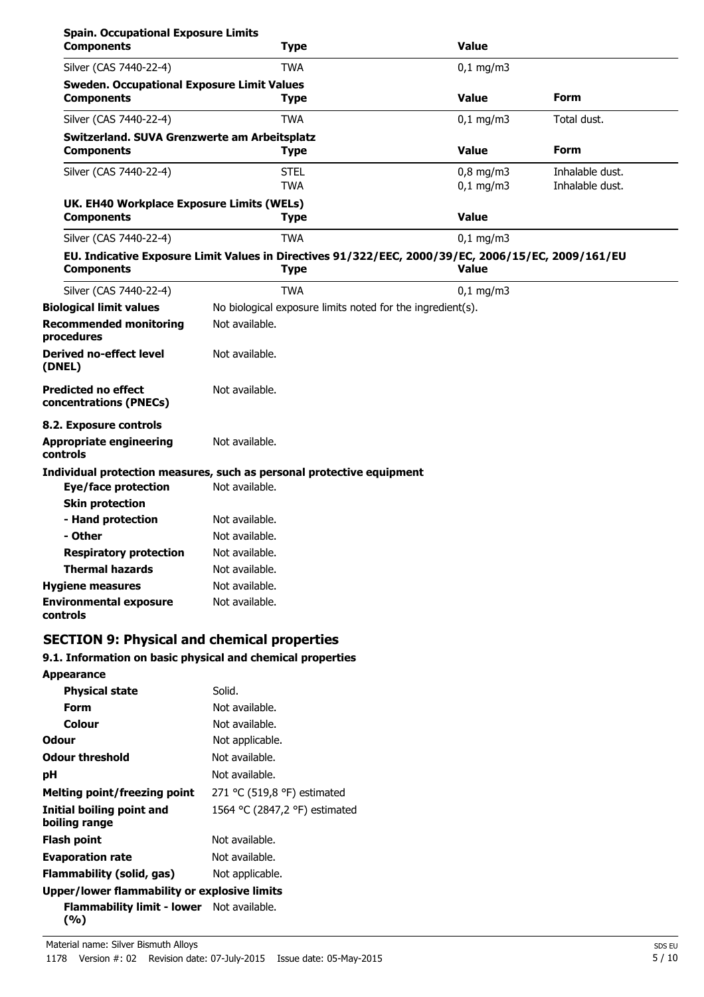| <b>Spain. Occupational Exposure Limits</b><br><b>Components</b> | <b>Type</b>                                                                                                       | <b>Value</b> |                 |
|-----------------------------------------------------------------|-------------------------------------------------------------------------------------------------------------------|--------------|-----------------|
| Silver (CAS 7440-22-4)                                          | <b>TWA</b>                                                                                                        | $0,1$ mg/m3  |                 |
| <b>Sweden. Occupational Exposure Limit Values</b>               |                                                                                                                   |              |                 |
| <b>Components</b>                                               | Type                                                                                                              | <b>Value</b> | Form            |
| Silver (CAS 7440-22-4)                                          | <b>TWA</b>                                                                                                        | $0,1$ mg/m3  | Total dust.     |
| Switzerland. SUVA Grenzwerte am Arbeitsplatz                    |                                                                                                                   |              |                 |
| <b>Components</b>                                               | <b>Type</b>                                                                                                       | <b>Value</b> | <b>Form</b>     |
| Silver (CAS 7440-22-4)                                          | <b>STEL</b>                                                                                                       | $0,8$ mg/m3  | Inhalable dust. |
|                                                                 | <b>TWA</b>                                                                                                        | $0,1$ mg/m3  | Inhalable dust. |
| UK. EH40 Workplace Exposure Limits (WELs)                       |                                                                                                                   |              |                 |
| <b>Components</b>                                               | <b>Type</b>                                                                                                       | <b>Value</b> |                 |
| Silver (CAS 7440-22-4)                                          | <b>TWA</b>                                                                                                        | $0,1$ mg/m3  |                 |
| <b>Components</b>                                               | EU. Indicative Exposure Limit Values in Directives 91/322/EEC, 2000/39/EC, 2006/15/EC, 2009/161/EU<br><b>Type</b> | <b>Value</b> |                 |
| Silver (CAS 7440-22-4)                                          | <b>TWA</b>                                                                                                        | $0,1$ mg/m3  |                 |
| <b>Biological limit values</b>                                  | No biological exposure limits noted for the ingredient(s).                                                        |              |                 |
| <b>Recommended monitoring</b><br>procedures                     | Not available.                                                                                                    |              |                 |
| <b>Derived no-effect level</b><br>(DNEL)                        | Not available.                                                                                                    |              |                 |
| <b>Predicted no effect</b><br>concentrations (PNECs)            | Not available.                                                                                                    |              |                 |
| 8.2. Exposure controls                                          |                                                                                                                   |              |                 |
| <b>Appropriate engineering</b><br><b>controls</b>               | Not available.                                                                                                    |              |                 |
|                                                                 | Individual protection measures, such as personal protective equipment                                             |              |                 |
| <b>Eye/face protection</b>                                      | Not available.                                                                                                    |              |                 |
| <b>Skin protection</b>                                          |                                                                                                                   |              |                 |
| - Hand protection                                               | Not available.                                                                                                    |              |                 |
| - Other                                                         | Not available.                                                                                                    |              |                 |
| <b>Respiratory protection</b>                                   | Not available.                                                                                                    |              |                 |
| <b>Thermal hazards</b>                                          | Not available.                                                                                                    |              |                 |
| <b>Hygiene measures</b>                                         | Not available.                                                                                                    |              |                 |
| <b>Environmental exposure</b><br>controls                       | Not available.                                                                                                    |              |                 |

## **SECTION 9: Physical and chemical properties**

### **9.1. Information on basic physical and chemical properties**

| <b>Appearance</b>                                       |                               |
|---------------------------------------------------------|-------------------------------|
| <b>Physical state</b>                                   | Solid.                        |
| Form                                                    | Not available.                |
| Colour                                                  | Not available.                |
| Odour                                                   | Not applicable.               |
| <b>Odour threshold</b>                                  | Not available.                |
| рH                                                      | Not available.                |
| Melting point/freezing point                            | 271 °C (519,8 °F) estimated   |
| Initial boiling point and<br>boiling range              | 1564 °C (2847,2 °F) estimated |
| Flash point                                             | Not available.                |
| <b>Evaporation rate</b>                                 | Not available.                |
| Flammability (solid, gas)                               | Not applicable.               |
| Upper/lower flammability or explosive limits            |                               |
| <b>Flammability limit - lower</b> Not available.<br>(%) |                               |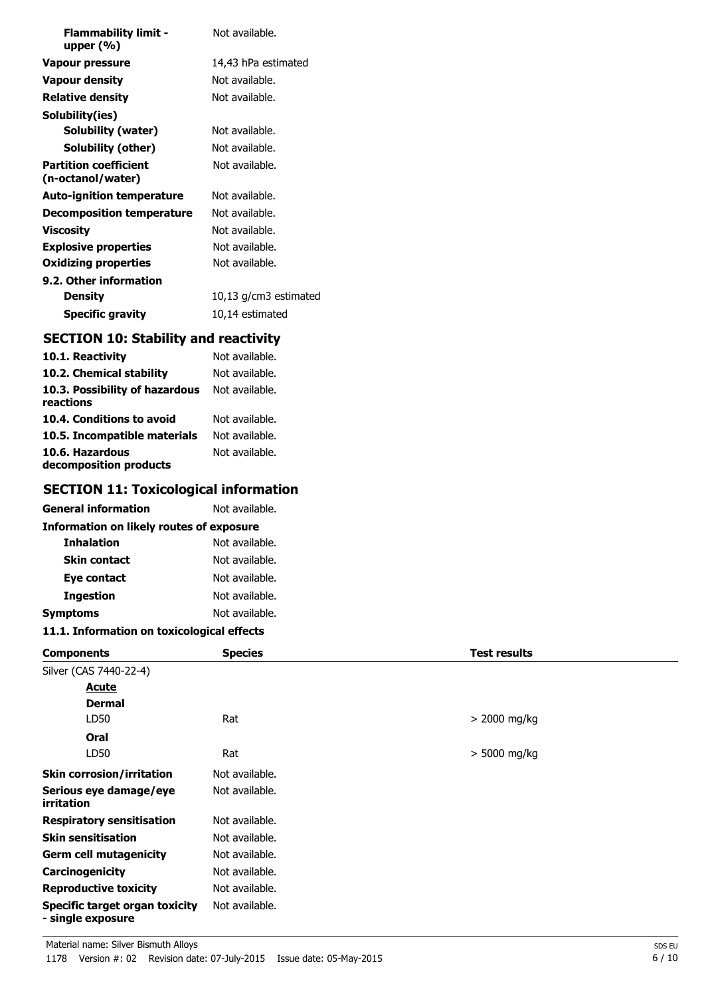| <b>Flammability limit -</b><br>upper $(\%)$       | Not available.        |
|---------------------------------------------------|-----------------------|
| Vapour pressure                                   | 14,43 hPa estimated   |
| <b>Vapour density</b>                             | Not available.        |
| <b>Relative density</b>                           | Not available.        |
| Solubility(ies)                                   |                       |
| Solubility (water)                                | Not available.        |
| Solubility (other)                                | Not available.        |
| <b>Partition coefficient</b><br>(n-octanol/water) | Not available.        |
| <b>Auto-ignition temperature</b>                  | Not available.        |
| <b>Decomposition temperature</b>                  | Not available.        |
| Viscosity                                         | Not available.        |
| <b>Explosive properties</b>                       | Not available.        |
| <b>Oxidizing properties</b>                       | Not available.        |
| 9.2. Other information                            |                       |
| <b>Density</b>                                    | 10,13 g/cm3 estimated |
| <b>Specific gravity</b>                           | 10,14 estimated       |

## **SECTION 10: Stability and reactivity**

| 10.1. Reactivity                            | Not available. |
|---------------------------------------------|----------------|
| 10.2. Chemical stability                    | Not available. |
| 10.3. Possibility of hazardous<br>reactions | Not available. |
| 10.4. Conditions to avoid                   | Not available. |
| 10.5. Incompatible materials                | Not available. |
| 10.6. Hazardous<br>decomposition products   | Not available. |

## **SECTION 11: Toxicological information**

| General information                             | Not available. |  |
|-------------------------------------------------|----------------|--|
| <b>Information on likely routes of exposure</b> |                |  |
| <b>Inhalation</b>                               | Not available. |  |
| <b>Skin contact</b>                             | Not available. |  |
| Eye contact                                     | Not available. |  |
| <b>Ingestion</b>                                | Not available. |  |
| Symptoms                                        | Not available. |  |

### **11.1. Information on toxicological effects**

| <b>Components</b>                                          | <b>Species</b> | <b>Test results</b> |
|------------------------------------------------------------|----------------|---------------------|
| Silver (CAS 7440-22-4)                                     |                |                     |
| <u>Acute</u>                                               |                |                     |
| <b>Dermal</b>                                              |                |                     |
| LD50                                                       | Rat            | $> 2000$ mg/kg      |
| Oral                                                       |                |                     |
| LD50                                                       | Rat            | $>$ 5000 mg/kg      |
| <b>Skin corrosion/irritation</b>                           | Not available. |                     |
| Serious eye damage/eye<br>irritation                       | Not available. |                     |
| <b>Respiratory sensitisation</b>                           | Not available. |                     |
| <b>Skin sensitisation</b>                                  | Not available. |                     |
| <b>Germ cell mutagenicity</b>                              | Not available. |                     |
| <b>Carcinogenicity</b>                                     | Not available. |                     |
| <b>Reproductive toxicity</b>                               | Not available. |                     |
| <b>Specific target organ toxicity</b><br>- single exposure | Not available. |                     |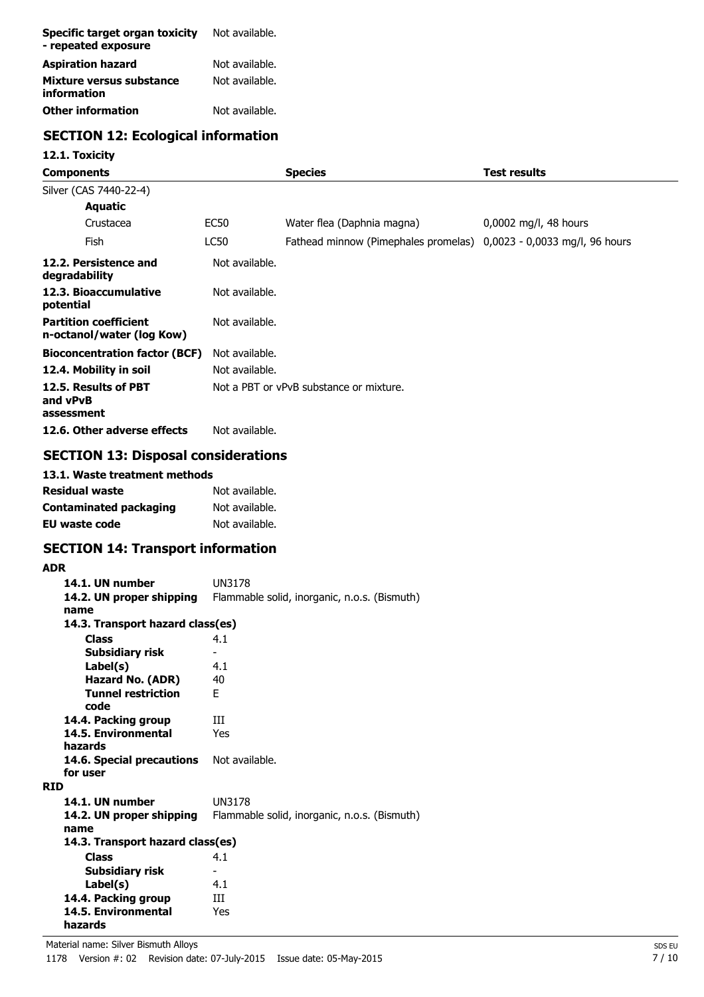| Specific target organ toxicity<br>- repeated exposure | Not available. |
|-------------------------------------------------------|----------------|
| <b>Aspiration hazard</b>                              | Not available. |
| Mixture versus substance<br>information               | Not available. |
| <b>Other information</b>                              | Not available. |

## **SECTION 12: Ecological information**

### **12.1. Toxicity**

| Components                                                |                | <b>Species</b>                                                      | Test results          |
|-----------------------------------------------------------|----------------|---------------------------------------------------------------------|-----------------------|
| Silver (CAS 7440-22-4)                                    |                |                                                                     |                       |
| <b>Aquatic</b>                                            |                |                                                                     |                       |
| Crustacea                                                 | EC50           | Water flea (Daphnia magna)                                          | 0,0002 mg/l, 48 hours |
| Fish                                                      | LC50           | Fathead minnow (Pimephales promelas) 0,0023 - 0,0033 mg/l, 96 hours |                       |
| 12.2. Persistence and<br>degradability                    | Not available. |                                                                     |                       |
| 12.3. Bioaccumulative<br>potential                        | Not available. |                                                                     |                       |
| <b>Partition coefficient</b><br>n-octanol/water (log Kow) | Not available. |                                                                     |                       |
| <b>Bioconcentration factor (BCF)</b>                      | Not available. |                                                                     |                       |
| 12.4. Mobility in soil                                    | Not available. |                                                                     |                       |
| 12.5. Results of PBT<br>and vPvB<br>assessment            |                | Not a PBT or vPvB substance or mixture.                             |                       |
| 12.6. Other adverse effects                               | Not available. |                                                                     |                       |

## **SECTION 13: Disposal considerations**

| 13.1. Waste treatment methods |                |
|-------------------------------|----------------|
| Residual waste                | Not available. |
| <b>Contaminated packaging</b> | Not available. |
| <b>EU waste code</b>          | Not available. |

## **SECTION 14: Transport information**

### **ADR**

| 14.1. UN number                  | UN3178                                       |
|----------------------------------|----------------------------------------------|
| 14.2. UN proper shipping         | Flammable solid, inorganic, n.o.s. (Bismuth) |
| name                             |                                              |
| 14.3. Transport hazard class(es) |                                              |
|                                  |                                              |
| <b>Class</b>                     | 4.1                                          |
| Subsidiary risk                  |                                              |
| Label(s)                         | 4.1                                          |
| Hazard No. (ADR)                 | 40                                           |
| <b>Tunnel restriction</b>        | F.                                           |
| code                             |                                              |
| 14.4. Packing group              | ш                                            |
| 14.5. Environmental              | Yes                                          |
| hazards                          |                                              |
| 14.6. Special precautions        | Not available.                               |
| for user                         |                                              |
| <b>RTD</b>                       |                                              |
| 14.1. UN number                  | <b>UN3178</b>                                |
| 14.2. UN proper shipping         | Flammable solid, inorganic, n.o.s. (Bismuth) |
| name                             |                                              |
| 14.3. Transport hazard class(es) |                                              |
| <b>Class</b>                     | 4.1                                          |
| Subsidiary risk                  |                                              |
| Label(s)                         | 4.1                                          |
| 14.4. Packing group              | Ш                                            |
| 14.5. Environmental              | Yes                                          |
| hazards                          |                                              |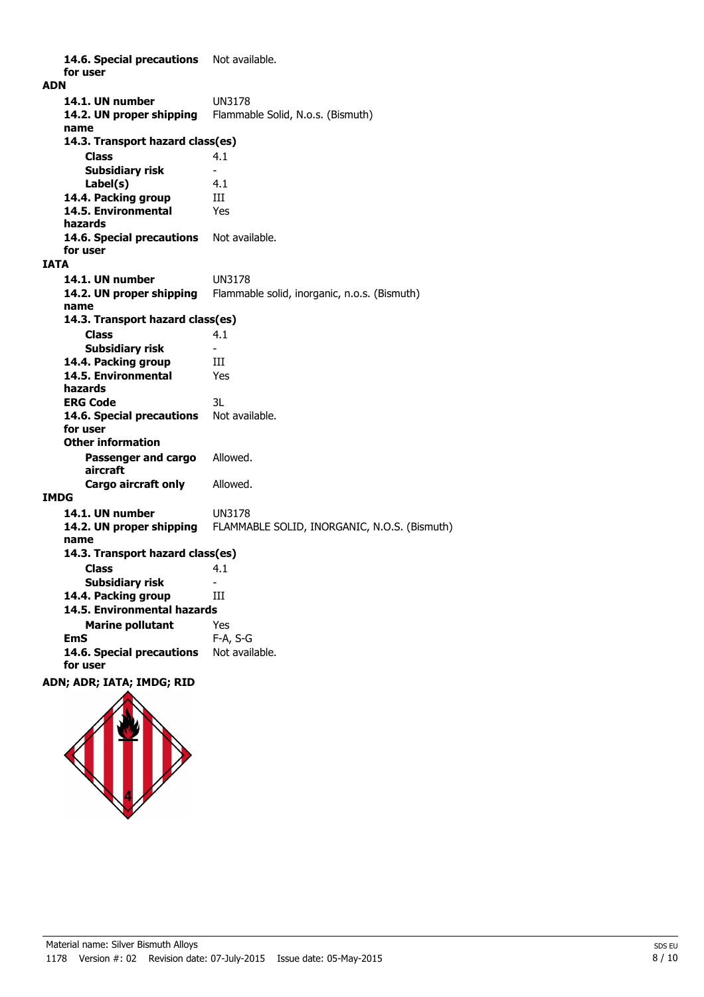14.6. Special precautions Not available. **for user ADN 14.1. UN number** UN3178 **14.2. UN proper shipping** Flammable Solid, N.o.s. (Bismuth) **name Class** 4.1 **14.3. Transport hazard class(es) Subsidiary risk Label(s)** 4.1 14.4. Packing group **III 14.5. Environmental** Yes **hazards** 14.6. Special precautions Not available. **for user IATA 14.1. UN number** UN3178 **14.2. UN proper shipping** Flammable solid, inorganic, n.o.s. (Bismuth) **name Class** 4.1 **14.3. Transport hazard class(es) Subsidiary risk 14.4. Packing group III 14.5. Environmental** Yes **hazards ERG Code** 3L 14.6. Special precautions Not available. **for user Passenger and cargo** Allowed. **aircraft Other information Cargo aircraft only** Allowed. **IMDG 14.1. UN number** UN3178 **14.2. UN proper shipping** FLAMMABLE SOLID, INORGANIC, N.O.S. (Bismuth) **name Class** 4.1 **14.3. Transport hazard class(es) Subsidiary risk** 14.4. Packing group **III Marine pollutant** Yes **14.5. Environmental hazards EmS** F-A, S-G 14.6. Special precautions Not available. **for user ADN; ADR; IATA; IMDG; RID**

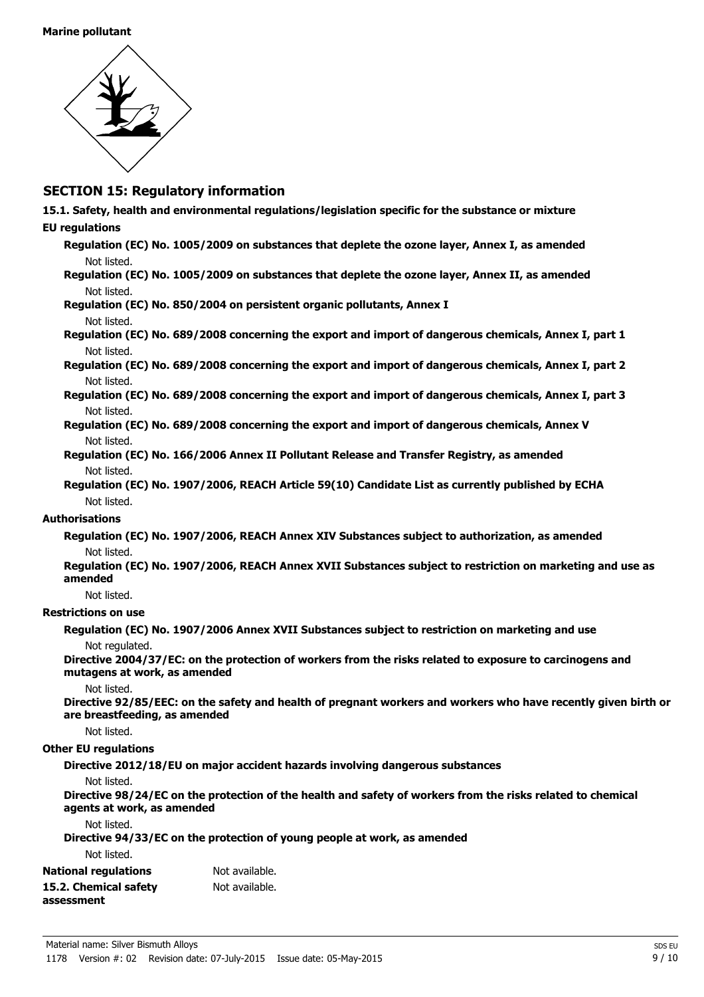

### **SECTION 15: Regulatory information**

- **15.1. Safety, health and environmental regulations/legislation specific for the substance or mixture**
- **EU regulations**
	- **Regulation (EC) No. 1005/2009 on substances that deplete the ozone layer, Annex I, as amended** Not listed.
	- **Regulation (EC) No. 1005/2009 on substances that deplete the ozone layer, Annex II, as amended** Not listed.

### **Regulation (EC) No. 850/2004 on persistent organic pollutants, Annex I** Not listed.

- **Regulation (EC) No. 689/2008 concerning the export and import of dangerous chemicals, Annex I, part 1** Not listed.
- **Regulation (EC) No. 689/2008 concerning the export and import of dangerous chemicals, Annex I, part 2** Not listed.
- **Regulation (EC) No. 689/2008 concerning the export and import of dangerous chemicals, Annex I, part 3** Not listed.
- **Regulation (EC) No. 689/2008 concerning the export and import of dangerous chemicals, Annex V** Not listed.
- **Regulation (EC) No. 166/2006 Annex II Pollutant Release and Transfer Registry, as amended** Not listed.
- **Regulation (EC) No. 1907/2006, REACH Article 59(10) Candidate List as currently published by ECHA** Not listed.

### **Authorisations**

- **Regulation (EC) No. 1907/2006, REACH Annex XIV Substances subject to authorization, as amended** Not listed.
- **Regulation (EC) No. 1907/2006, REACH Annex XVII Substances subject to restriction on marketing and use as amended**

Not listed.

### **Restrictions on use**

**Regulation (EC) No. 1907/2006 Annex XVII Substances subject to restriction on marketing and use** Not regulated.

**Directive 2004/37/EC: on the protection of workers from the risks related to exposure to carcinogens and mutagens at work, as amended**

Not listed.

**Directive 92/85/EEC: on the safety and health of pregnant workers and workers who have recently given birth or are breastfeeding, as amended**

Not listed.

### **Other EU regulations**

**Directive 2012/18/EU on major accident hazards involving dangerous substances**

#### Not listed.

**Directive 98/24/EC on the protection of the health and safety of workers from the risks related to chemical agents at work, as amended**

Not listed.

**Directive 94/33/EC on the protection of young people at work, as amended**

Not listed.

| <b>National regulations</b> | Not available. |
|-----------------------------|----------------|
| 15.2. Chemical safety       | Not available. |
| assessment                  |                |